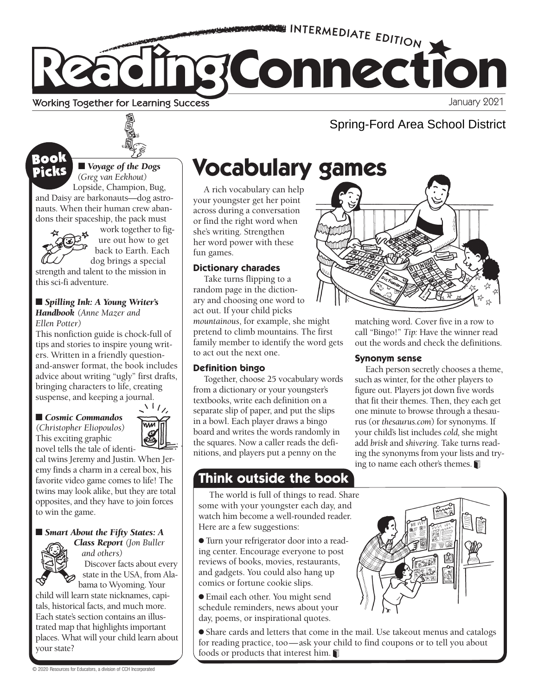

#### **Working Together for Learning Success**

■ *Voyage of the Dogs* 

work together to figure out how to get back to Earth. Each dog brings a special

*(Greg van Eekhout)*  Lopside, Champion, Bug,

and Daisy are barkonauts—dog astronauts. When their human crew abandons their spaceship, the pack must

strength and talent to the mission in

■ *Spilling Ink: A Young Writer's Handbook (Anne Mazer and* 

This nonfiction guide is chock-full of tips and stories to inspire young writers. Written in a friendly questionand-answer format, the book includes advice about writing "ugly" first drafts, bringing characters to life, creating suspense, and keeping a journal.

this sci-fi adventure.

*Ellen Potter)*

Picks

# Spring-Ford Area School District

# **Picks** Evoyage of the Dogs **Vocabulary games**

A rich vocabulary can help your youngster get her point across during a conversation or find the right word when she's writing. Strengthen her word power with these fun games.

#### **Dictionary charades**

Take turns flipping to a random page in the dictionary and choosing one word to act out. If your child picks *mountainous*, for example, she might pretend to climb mountains. The first family member to identify the word gets to act out the next one.

#### **Definition bingo**

Together, choose 25 vocabulary words from a dictionary or your youngster's textbooks, write each definition on a separate slip of paper, and put the slips in a bowl. Each player draws a bingo board and writes the words randomly in the squares. Now a caller reads the definitions, and players put a penny on the

### **Think outside the book**

The world is full of things to read. Share some with your youngster each day, and watch him become a well-rounded reader. Here are a few suggestions:

● Turn your refrigerator door into a reading center. Encourage everyone to post reviews of books, movies, restaurants, and gadgets. You could also hang up comics or fortune cookie slips.

● Email each other. You might send schedule reminders, news about your day, poems, or inspirational quotes.

● Share cards and letters that come in the mail. Use takeout menus and catalogs for reading practice, too—ask your child to find coupons or to tell you about foods or products that interest him.



matching word. Cover five in a row to call "Bingo!" *Tip:* Have the winner read out the words and check the definitions.

#### **Synonym sense**

Each person secretly chooses a theme, such as winter, for the other players to figure out. Players jot down five words that fit their themes. Then, they each get one minute to browse through a thesaurus (or *thesaurus.com*) for synonyms. If your child's list includes *cold,* she might add *brisk* and *shivering*. Take turns reading the synonyms from your lists and trying to name each other's themes.

*(Christopher Eliopoulos)*  This exciting graphic novel tells the tale of identi-

■ *Cosmic Commandos* 



cal twins Jeremy and Justin. When Jeremy finds a charm in a cereal box, his favorite video game comes to life! The twins may look alike, but they are total opposites, and they have to join forces to win the game.

#### ■ *Smart About the Fifty States: A Class Report (Jon Buller*



*and others)* Discover facts about every state in the USA, from Alabama to Wyoming. Your

child will learn state nicknames, capitals, historical facts, and much more. Each state's section contains an illustrated map that highlights important places. What will your child learn about your state?

© 2020 Resources for Educators, a division of CCH Incorporated